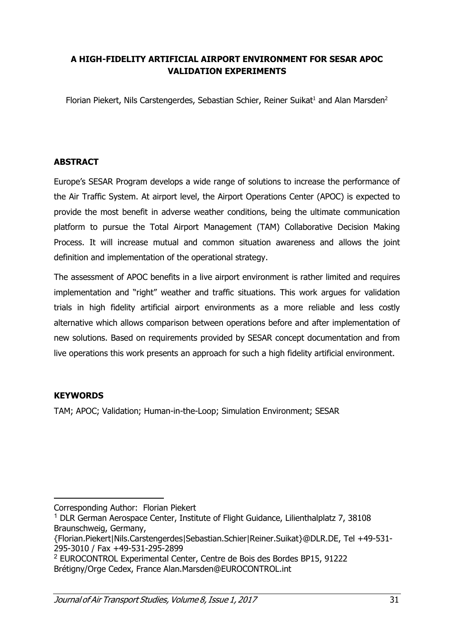# A HIGH-FIDELITY ARTIFICIAL AIRPORT ENVIRONMENT FOR SESAR APOC VALIDATION EXPERIMENTS

Florian Piekert, Nils Carstengerdes, Sebastian Schier, Reiner Suikat<sup>1</sup> and Alan Marsden<sup>2</sup>

## ABSTRACT

Europe's SESAR Program develops a wide range of solutions to increase the performance of the Air Traffic System. At airport level, the Airport Operations Center (APOC) is expected to provide the most benefit in adverse weather conditions, being the ultimate communication platform to pursue the Total Airport Management (TAM) Collaborative Decision Making Process. It will increase mutual and common situation awareness and allows the joint definition and implementation of the operational strategy.

The assessment of APOC benefits in a live airport environment is rather limited and requires implementation and "right" weather and traffic situations. This work argues for validation trials in high fidelity artificial airport environments as a more reliable and less costly alternative which allows comparison between operations before and after implementation of new solutions. Based on requirements provided by SESAR concept documentation and from live operations this work presents an approach for such a high fidelity artificial environment.

## **KEYWORDS**

TAM; APOC; Validation; Human-in-the-Loop; Simulation Environment; SESAR

 $\overline{a}$ Corresponding Author: Florian Piekert

 $1$  DLR German Aerospace Center, Institute of Flight Guidance, Lilienthalplatz 7, 38108 Braunschweig, Germany,

<sup>{</sup>Florian.Piekert|Nils.Carstengerdes|Sebastian.Schier|Reiner.Suikat}@DLR.DE, Tel +49-531- 295-3010 / Fax +49-531-295-2899

<sup>2</sup> EUROCONTROL Experimental Center, Centre de Bois des Bordes BP15, 91222 Brétigny/Orge Cedex, France Alan.Marsden@EUROCONTROL.int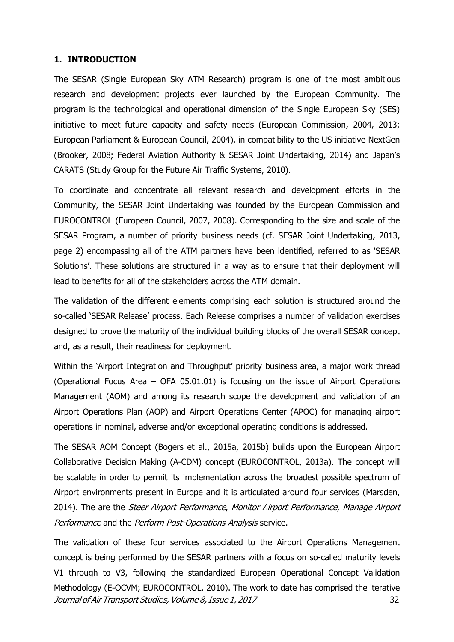#### 1. INTRODUCTION

The SESAR (Single European Sky ATM Research) program is one of the most ambitious research and development projects ever launched by the European Community. The program is the technological and operational dimension of the Single European Sky (SES) initiative to meet future capacity and safety needs (European Commission, 2004, 2013; European Parliament & European Council, 2004), in compatibility to the US initiative NextGen (Brooker, 2008; Federal Aviation Authority & SESAR Joint Undertaking, 2014) and Japan's CARATS (Study Group for the Future Air Traffic Systems, 2010).

To coordinate and concentrate all relevant research and development efforts in the Community, the SESAR Joint Undertaking was founded by the European Commission and EUROCONTROL (European Council, 2007, 2008). Corresponding to the size and scale of the SESAR Program, a number of priority business needs (cf. SESAR Joint Undertaking, 2013, page 2) encompassing all of the ATM partners have been identified, referred to as 'SESAR Solutions'. These solutions are structured in a way as to ensure that their deployment will lead to benefits for all of the stakeholders across the ATM domain.

The validation of the different elements comprising each solution is structured around the so-called 'SESAR Release' process. Each Release comprises a number of validation exercises designed to prove the maturity of the individual building blocks of the overall SESAR concept and, as a result, their readiness for deployment.

Within the 'Airport Integration and Throughput' priority business area, a major work thread (Operational Focus Area – OFA 05.01.01) is focusing on the issue of Airport Operations Management (AOM) and among its research scope the development and validation of an Airport Operations Plan (AOP) and Airport Operations Center (APOC) for managing airport operations in nominal, adverse and/or exceptional operating conditions is addressed.

The SESAR AOM Concept (Bogers et al., 2015a, 2015b) builds upon the European Airport Collaborative Decision Making (A-CDM) concept (EUROCONTROL, 2013a). The concept will be scalable in order to permit its implementation across the broadest possible spectrum of Airport environments present in Europe and it is articulated around four services (Marsden, 2014). The are the *Steer Airport Performance, Monitor Airport Performance, Manage Airport* Performance and the Perform Post-Operations Analysis service.

Journal of Air Transport Studies, Volume 8, Issue 1, 2017 The validation of these four services associated to the Airport Operations Management concept is being performed by the SESAR partners with a focus on so-called maturity levels V1 through to V3, following the standardized European Operational Concept Validation Methodology (E-OCVM; EUROCONTROL, 2010). The work to date has comprised the iterative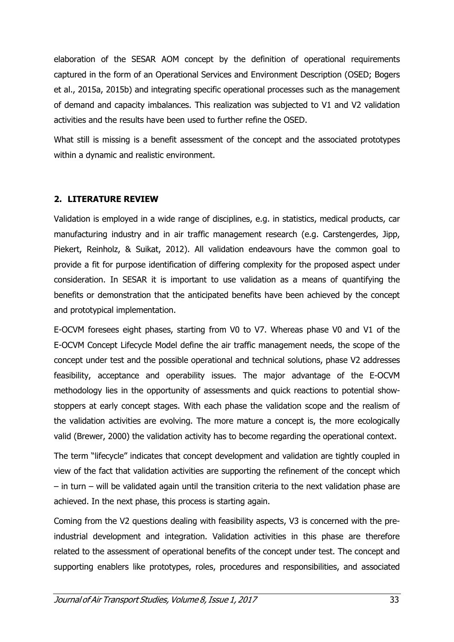elaboration of the SESAR AOM concept by the definition of operational requirements captured in the form of an Operational Services and Environment Description (OSED; Bogers et al., 2015a, 2015b) and integrating specific operational processes such as the management of demand and capacity imbalances. This realization was subjected to V1 and V2 validation activities and the results have been used to further refine the OSED.

What still is missing is a benefit assessment of the concept and the associated prototypes within a dynamic and realistic environment.

## 2. LITERATURE REVIEW

Validation is employed in a wide range of disciplines, e.g. in statistics, medical products, car manufacturing industry and in air traffic management research (e.g. Carstengerdes, Jipp, Piekert, Reinholz, & Suikat, 2012). All validation endeavours have the common goal to provide a fit for purpose identification of differing complexity for the proposed aspect under consideration. In SESAR it is important to use validation as a means of quantifying the benefits or demonstration that the anticipated benefits have been achieved by the concept and prototypical implementation.

E-OCVM foresees eight phases, starting from V0 to V7. Whereas phase V0 and V1 of the E-OCVM Concept Lifecycle Model define the air traffic management needs, the scope of the concept under test and the possible operational and technical solutions, phase V2 addresses feasibility, acceptance and operability issues. The major advantage of the E-OCVM methodology lies in the opportunity of assessments and quick reactions to potential showstoppers at early concept stages. With each phase the validation scope and the realism of the validation activities are evolving. The more mature a concept is, the more ecologically valid (Brewer, 2000) the validation activity has to become regarding the operational context.

The term "lifecycle" indicates that concept development and validation are tightly coupled in view of the fact that validation activities are supporting the refinement of the concept which – in turn – will be validated again until the transition criteria to the next validation phase are achieved. In the next phase, this process is starting again.

Coming from the V2 questions dealing with feasibility aspects, V3 is concerned with the preindustrial development and integration. Validation activities in this phase are therefore related to the assessment of operational benefits of the concept under test. The concept and supporting enablers like prototypes, roles, procedures and responsibilities, and associated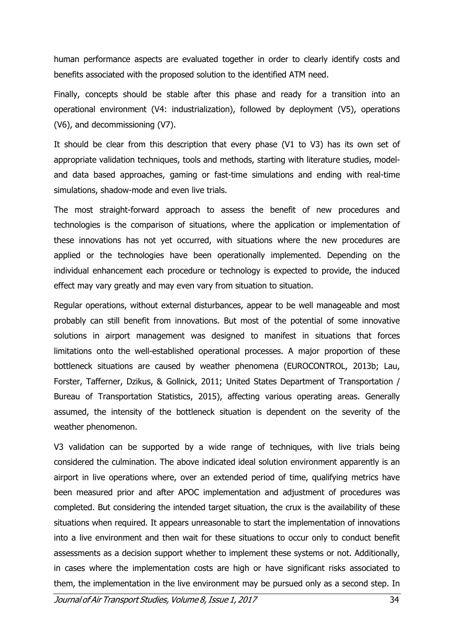human performance aspects are evaluated together in order to clearly identify costs and benefits associated with the proposed solution to the identified ATM need.

Finally, concepts should be stable after this phase and ready for a transition into an operational environment (V4: industrialization), followed by deployment (V5), operations (V6), and decommissioning (V7).

It should be clear from this description that every phase (V1 to V3) has its own set of appropriate validation techniques, tools and methods, starting with literature studies, modeland data based approaches, gaming or fast-time simulations and ending with real-time simulations, shadow-mode and even live trials.

The most straight-forward approach to assess the benefit of new procedures and technologies is the comparison of situations, where the application or implementation of these innovations has not yet occurred, with situations where the new procedures are applied or the technologies have been operationally implemented. Depending on the individual enhancement each procedure or technology is expected to provide, the induced effect may vary greatly and may even vary from situation to situation.

Regular operations, without external disturbances, appear to be well manageable and most probably can still benefit from innovations. But most of the potential of some innovative solutions in airport management was designed to manifest in situations that forces limitations onto the well-established operational processes. A major proportion of these bottleneck situations are caused by weather phenomena (EUROCONTROL, 2013b; Lau, Forster, Tafferner, Dzikus, & Gollnick, 2011; United States Department of Transportation / Bureau of Transportation Statistics, 2015), affecting various operating areas. Generally assumed, the intensity of the bottleneck situation is dependent on the severity of the weather phenomenon.

V3 validation can be supported by a wide range of techniques, with live trials being considered the culmination. The above indicated ideal solution environment apparently is an airport in live operations where, over an extended period of time, qualifying metrics have been measured prior and after APOC implementation and adjustment of procedures was completed. But considering the intended target situation, the crux is the availability of these situations when required. It appears unreasonable to start the implementation of innovations into a live environment and then wait for these situations to occur only to conduct benefit assessments as a decision support whether to implement these systems or not. Additionally, in cases where the implementation costs are high or have significant risks associated to them, the implementation in the live environment may be pursued only as a second step. In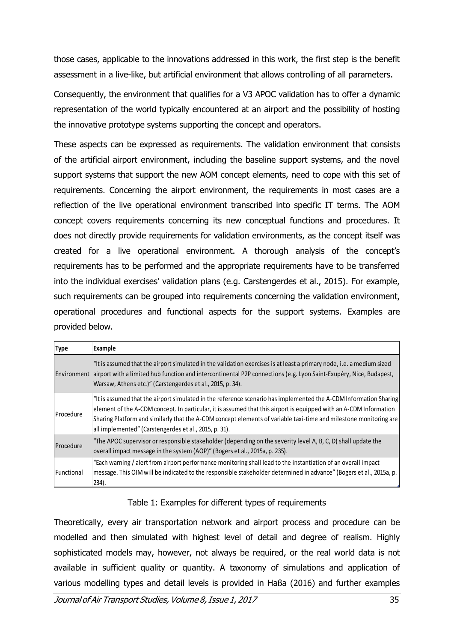those cases, applicable to the innovations addressed in this work, the first step is the benefit assessment in a live-like, but artificial environment that allows controlling of all parameters.

Consequently, the environment that qualifies for a V3 APOC validation has to offer a dynamic representation of the world typically encountered at an airport and the possibility of hosting the innovative prototype systems supporting the concept and operators.

These aspects can be expressed as requirements. The validation environment that consists of the artificial airport environment, including the baseline support systems, and the novel support systems that support the new AOM concept elements, need to cope with this set of requirements. Concerning the airport environment, the requirements in most cases are a reflection of the live operational environment transcribed into specific IT terms. The AOM concept covers requirements concerning its new conceptual functions and procedures. It does not directly provide requirements for validation environments, as the concept itself was created for a live operational environment. A thorough analysis of the concept's requirements has to be performed and the appropriate requirements have to be transferred into the individual exercises' validation plans (e.g. Carstengerdes et al., 2015). For example, such requirements can be grouped into requirements concerning the validation environment, operational procedures and functional aspects for the support systems. Examples are provided below.

| <b>Type</b> | Example                                                                                                                                                                                                                                                                                                                                                                                                               |
|-------------|-----------------------------------------------------------------------------------------------------------------------------------------------------------------------------------------------------------------------------------------------------------------------------------------------------------------------------------------------------------------------------------------------------------------------|
|             | "It is assumed that the airport simulated in the validation exercises is at least a primary node, i.e. a medium sized<br>Environment airport with a limited hub function and intercontinental P2P connections (e.g. Lyon Saint-Exupéry, Nice, Budapest,<br>Warsaw, Athens etc.)" (Carstengerdes et al., 2015, p. 34).                                                                                                 |
| Procedure   | "It is assumed that the airport simulated in the reference scenario has implemented the A-CDM Information Sharing<br>element of the A-CDM concept. In particular, it is assumed that this airport is equipped with an A-CDM Information<br>Sharing Platform and similarly that the A-CDM concept elements of variable taxi-time and milestone monitoring are<br>all implemented" (Carstengerdes et al., 2015, p. 31). |
| Procedure   | "The APOC supervisor or responsible stakeholder (depending on the severity level A, B, C, D) shall update the<br>overall impact message in the system (AOP)" (Bogers et al., 2015a, p. 235).                                                                                                                                                                                                                          |
| Functional  | "Each warning / alert from airport performance monitoring shall lead to the instantiation of an overall impact<br>message. This OIM will be indicated to the responsible stakeholder determined in advance" (Bogers et al., 2015a, p.<br>$234$ ).                                                                                                                                                                     |

## Table 1: Examples for different types of requirements

Theoretically, every air transportation network and airport process and procedure can be modelled and then simulated with highest level of detail and degree of realism. Highly sophisticated models may, however, not always be required, or the real world data is not available in sufficient quality or quantity. A taxonomy of simulations and application of various modelling types and detail levels is provided in Haßa (2016) and further examples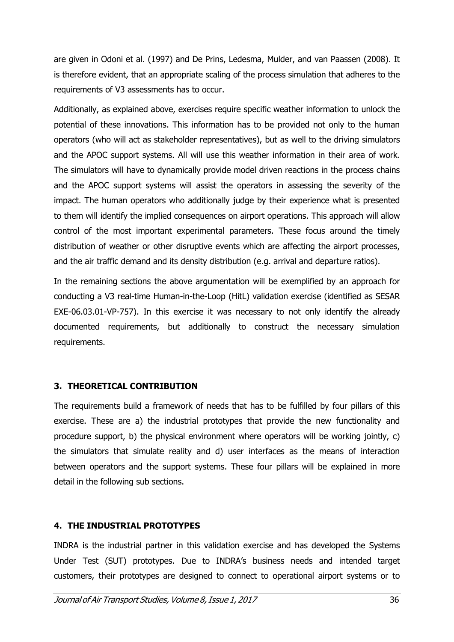are given in Odoni et al. (1997) and De Prins, Ledesma, Mulder, and van Paassen (2008). It is therefore evident, that an appropriate scaling of the process simulation that adheres to the requirements of V3 assessments has to occur.

Additionally, as explained above, exercises require specific weather information to unlock the potential of these innovations. This information has to be provided not only to the human operators (who will act as stakeholder representatives), but as well to the driving simulators and the APOC support systems. All will use this weather information in their area of work. The simulators will have to dynamically provide model driven reactions in the process chains and the APOC support systems will assist the operators in assessing the severity of the impact. The human operators who additionally judge by their experience what is presented to them will identify the implied consequences on airport operations. This approach will allow control of the most important experimental parameters. These focus around the timely distribution of weather or other disruptive events which are affecting the airport processes, and the air traffic demand and its density distribution (e.g. arrival and departure ratios).

In the remaining sections the above argumentation will be exemplified by an approach for conducting a V3 real-time Human-in-the-Loop (HitL) validation exercise (identified as SESAR EXE-06.03.01-VP-757). In this exercise it was necessary to not only identify the already documented requirements, but additionally to construct the necessary simulation requirements.

## 3. THEORETICAL CONTRIBUTION

The requirements build a framework of needs that has to be fulfilled by four pillars of this exercise. These are a) the industrial prototypes that provide the new functionality and procedure support, b) the physical environment where operators will be working jointly, c) the simulators that simulate reality and d) user interfaces as the means of interaction between operators and the support systems. These four pillars will be explained in more detail in the following sub sections.

## 4. THE INDUSTRIAL PROTOTYPES

INDRA is the industrial partner in this validation exercise and has developed the Systems Under Test (SUT) prototypes. Due to INDRA's business needs and intended target customers, their prototypes are designed to connect to operational airport systems or to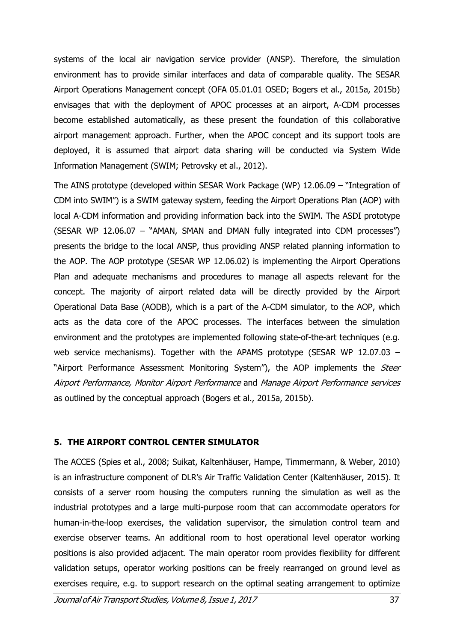systems of the local air navigation service provider (ANSP). Therefore, the simulation environment has to provide similar interfaces and data of comparable quality. The SESAR Airport Operations Management concept (OFA 05.01.01 OSED; Bogers et al., 2015a, 2015b) envisages that with the deployment of APOC processes at an airport, A-CDM processes become established automatically, as these present the foundation of this collaborative airport management approach. Further, when the APOC concept and its support tools are deployed, it is assumed that airport data sharing will be conducted via System Wide Information Management (SWIM; Petrovsky et al., 2012).

The AINS prototype (developed within SESAR Work Package (WP) 12.06.09 – "Integration of CDM into SWIM") is a SWIM gateway system, feeding the Airport Operations Plan (AOP) with local A-CDM information and providing information back into the SWIM. The ASDI prototype (SESAR WP 12.06.07 – "AMAN, SMAN and DMAN fully integrated into CDM processes") presents the bridge to the local ANSP, thus providing ANSP related planning information to the AOP. The AOP prototype (SESAR WP 12.06.02) is implementing the Airport Operations Plan and adequate mechanisms and procedures to manage all aspects relevant for the concept. The majority of airport related data will be directly provided by the Airport Operational Data Base (AODB), which is a part of the A-CDM simulator, to the AOP, which acts as the data core of the APOC processes. The interfaces between the simulation environment and the prototypes are implemented following state-of-the-art techniques (e.g. web service mechanisms). Together with the APAMS prototype (SESAR WP 12.07.03 – "Airport Performance Assessment Monitoring System"), the AOP implements the Steer Airport Performance, Monitor Airport Performance and Manage Airport Performance services as outlined by the conceptual approach (Bogers et al., 2015a, 2015b).

## 5. THE AIRPORT CONTROL CENTER SIMULATOR

The ACCES (Spies et al., 2008; Suikat, Kaltenhäuser, Hampe, Timmermann, & Weber, 2010) is an infrastructure component of DLR's Air Traffic Validation Center (Kaltenhäuser, 2015). It consists of a server room housing the computers running the simulation as well as the industrial prototypes and a large multi-purpose room that can accommodate operators for human-in-the-loop exercises, the validation supervisor, the simulation control team and exercise observer teams. An additional room to host operational level operator working positions is also provided adjacent. The main operator room provides flexibility for different validation setups, operator working positions can be freely rearranged on ground level as exercises require, e.g. to support research on the optimal seating arrangement to optimize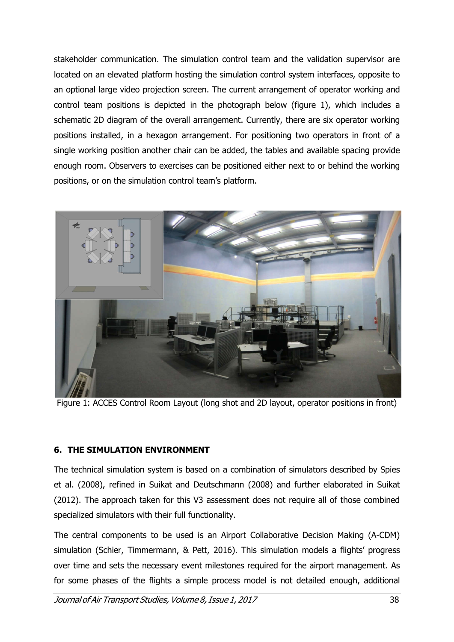stakeholder communication. The simulation control team and the validation supervisor are located on an elevated platform hosting the simulation control system interfaces, opposite to an optional large video projection screen. The current arrangement of operator working and control team positions is depicted in the photograph below (figure 1), which includes a schematic 2D diagram of the overall arrangement. Currently, there are six operator working positions installed, in a hexagon arrangement. For positioning two operators in front of a single working position another chair can be added, the tables and available spacing provide enough room. Observers to exercises can be positioned either next to or behind the working positions, or on the simulation control team's platform.



Figure 1: ACCES Control Room Layout (long shot and 2D layout, operator positions in front)

## 6. THE SIMULATION ENVIRONMENT

The technical simulation system is based on a combination of simulators described by Spies et al. (2008), refined in Suikat and Deutschmann (2008) and further elaborated in Suikat (2012). The approach taken for this V3 assessment does not require all of those combined specialized simulators with their full functionality.

The central components to be used is an Airport Collaborative Decision Making (A-CDM) simulation (Schier, Timmermann, & Pett, 2016). This simulation models a flights' progress over time and sets the necessary event milestones required for the airport management. As for some phases of the flights a simple process model is not detailed enough, additional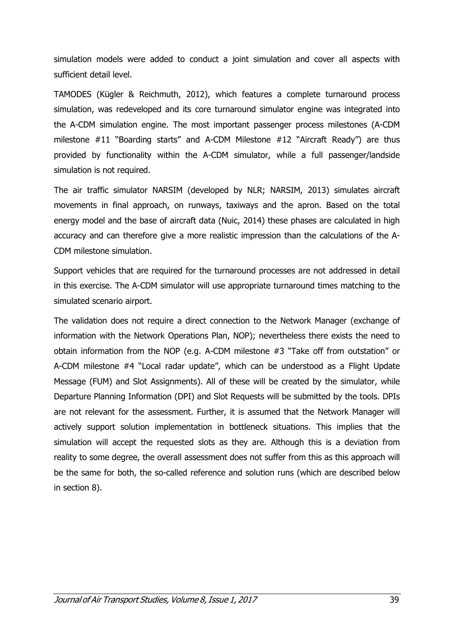simulation models were added to conduct a joint simulation and cover all aspects with sufficient detail level.

TAMODES (Kügler & Reichmuth, 2012), which features a complete turnaround process simulation, was redeveloped and its core turnaround simulator engine was integrated into the A-CDM simulation engine. The most important passenger process milestones (A-CDM milestone #11 "Boarding starts" and A-CDM Milestone #12 "Aircraft Ready") are thus provided by functionality within the A-CDM simulator, while a full passenger/landside simulation is not required.

The air traffic simulator NARSIM (developed by NLR; NARSIM, 2013) simulates aircraft movements in final approach, on runways, taxiways and the apron. Based on the total energy model and the base of aircraft data (Nuic, 2014) these phases are calculated in high accuracy and can therefore give a more realistic impression than the calculations of the A-CDM milestone simulation.

Support vehicles that are required for the turnaround processes are not addressed in detail in this exercise. The A-CDM simulator will use appropriate turnaround times matching to the simulated scenario airport.

The validation does not require a direct connection to the Network Manager (exchange of information with the Network Operations Plan, NOP); nevertheless there exists the need to obtain information from the NOP (e.g. A-CDM milestone #3 "Take off from outstation" or A-CDM milestone #4 "Local radar update", which can be understood as a Flight Update Message (FUM) and Slot Assignments). All of these will be created by the simulator, while Departure Planning Information (DPI) and Slot Requests will be submitted by the tools. DPIs are not relevant for the assessment. Further, it is assumed that the Network Manager will actively support solution implementation in bottleneck situations. This implies that the simulation will accept the requested slots as they are. Although this is a deviation from reality to some degree, the overall assessment does not suffer from this as this approach will be the same for both, the so-called reference and solution runs (which are described below in section 8).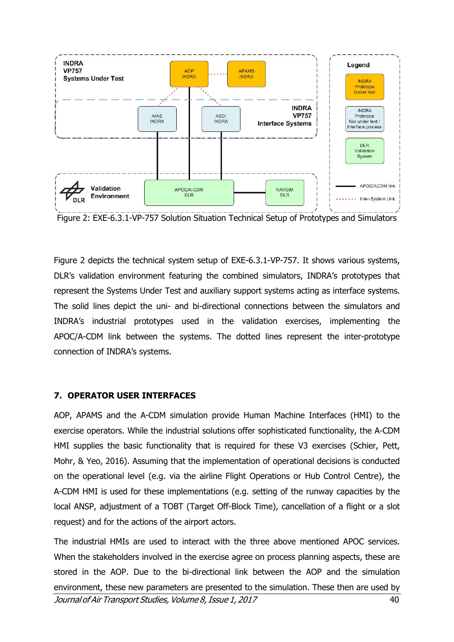

Figure 2: EXE-6.3.1-VP-757 Solution Situation Technical Setup of Prototypes and Simulators

Figure 2 depicts the technical system setup of EXE-6.3.1-VP-757. It shows various systems, DLR's validation environment featuring the combined simulators, INDRA's prototypes that represent the Systems Under Test and auxiliary support systems acting as interface systems. The solid lines depict the uni- and bi-directional connections between the simulators and INDRA's industrial prototypes used in the validation exercises, implementing the APOC/A-CDM link between the systems. The dotted lines represent the inter-prototype connection of INDRA's systems.

#### 7. OPERATOR USER INTERFACES

AOP, APAMS and the A-CDM simulation provide Human Machine Interfaces (HMI) to the exercise operators. While the industrial solutions offer sophisticated functionality, the A-CDM HMI supplies the basic functionality that is required for these V3 exercises (Schier, Pett, Mohr, & Yeo, 2016). Assuming that the implementation of operational decisions is conducted on the operational level (e.g. via the airline Flight Operations or Hub Control Centre), the A-CDM HMI is used for these implementations (e.g. setting of the runway capacities by the local ANSP, adjustment of a TOBT (Target Off-Block Time), cancellation of a flight or a slot request) and for the actions of the airport actors.

Journal of Air Transport Studies, Volume 8,Issue 1, 2017 40 The industrial HMIs are used to interact with the three above mentioned APOC services. When the stakeholders involved in the exercise agree on process planning aspects, these are stored in the AOP. Due to the bi-directional link between the AOP and the simulation environment, these new parameters are presented to the simulation. These then are used by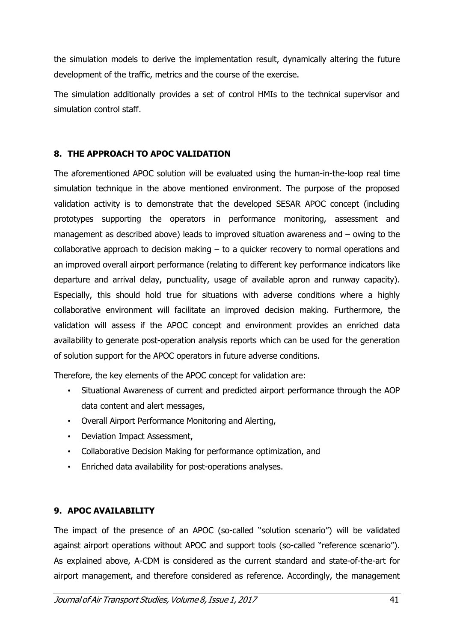the simulation models to derive the implementation result, dynamically altering the future development of the traffic, metrics and the course of the exercise.

The simulation additionally provides a set of control HMIs to the technical supervisor and simulation control staff.

## 8. THE APPROACH TO APOC VALIDATION

The aforementioned APOC solution will be evaluated using the human-in-the-loop real time simulation technique in the above mentioned environment. The purpose of the proposed validation activity is to demonstrate that the developed SESAR APOC concept (including prototypes supporting the operators in performance monitoring, assessment and management as described above) leads to improved situation awareness and – owing to the collaborative approach to decision making – to a quicker recovery to normal operations and an improved overall airport performance (relating to different key performance indicators like departure and arrival delay, punctuality, usage of available apron and runway capacity). Especially, this should hold true for situations with adverse conditions where a highly collaborative environment will facilitate an improved decision making. Furthermore, the validation will assess if the APOC concept and environment provides an enriched data availability to generate post-operation analysis reports which can be used for the generation of solution support for the APOC operators in future adverse conditions.

Therefore, the key elements of the APOC concept for validation are:

- Situational Awareness of current and predicted airport performance through the AOP data content and alert messages,
- Overall Airport Performance Monitoring and Alerting,
- Deviation Impact Assessment,
- Collaborative Decision Making for performance optimization, and
- Enriched data availability for post-operations analyses.

## 9. APOC AVAILABILITY

The impact of the presence of an APOC (so-called "solution scenario") will be validated against airport operations without APOC and support tools (so-called "reference scenario"). As explained above, A-CDM is considered as the current standard and state-of-the-art for airport management, and therefore considered as reference. Accordingly, the management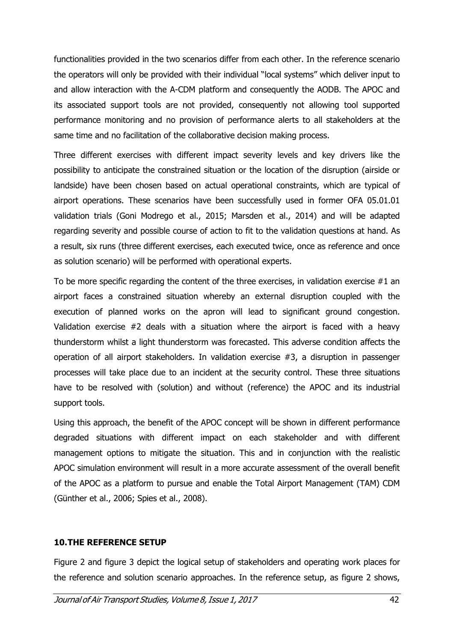functionalities provided in the two scenarios differ from each other. In the reference scenario the operators will only be provided with their individual "local systems" which deliver input to and allow interaction with the A-CDM platform and consequently the AODB. The APOC and its associated support tools are not provided, consequently not allowing tool supported performance monitoring and no provision of performance alerts to all stakeholders at the same time and no facilitation of the collaborative decision making process.

Three different exercises with different impact severity levels and key drivers like the possibility to anticipate the constrained situation or the location of the disruption (airside or landside) have been chosen based on actual operational constraints, which are typical of airport operations. These scenarios have been successfully used in former OFA 05.01.01 validation trials (Goni Modrego et al., 2015; Marsden et al., 2014) and will be adapted regarding severity and possible course of action to fit to the validation questions at hand. As a result, six runs (three different exercises, each executed twice, once as reference and once as solution scenario) will be performed with operational experts.

To be more specific regarding the content of the three exercises, in validation exercise #1 an airport faces a constrained situation whereby an external disruption coupled with the execution of planned works on the apron will lead to significant ground congestion. Validation exercise #2 deals with a situation where the airport is faced with a heavy thunderstorm whilst a light thunderstorm was forecasted. This adverse condition affects the operation of all airport stakeholders. In validation exercise #3, a disruption in passenger processes will take place due to an incident at the security control. These three situations have to be resolved with (solution) and without (reference) the APOC and its industrial support tools.

Using this approach, the benefit of the APOC concept will be shown in different performance degraded situations with different impact on each stakeholder and with different management options to mitigate the situation. This and in conjunction with the realistic APOC simulation environment will result in a more accurate assessment of the overall benefit of the APOC as a platform to pursue and enable the Total Airport Management (TAM) CDM (Günther et al., 2006; Spies et al., 2008).

#### 10.THE REFERENCE SETUP

Figure 2 and figure 3 depict the logical setup of stakeholders and operating work places for the reference and solution scenario approaches. In the reference setup, as figure 2 shows,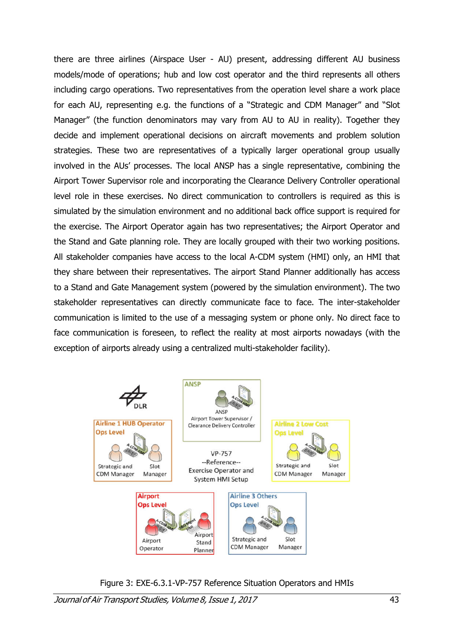there are three airlines (Airspace User - AU) present, addressing different AU business models/mode of operations; hub and low cost operator and the third represents all others including cargo operations. Two representatives from the operation level share a work place for each AU, representing e.g. the functions of a "Strategic and CDM Manager" and "Slot Manager" (the function denominators may vary from AU to AU in reality). Together they decide and implement operational decisions on aircraft movements and problem solution strategies. These two are representatives of a typically larger operational group usually involved in the AUs' processes. The local ANSP has a single representative, combining the Airport Tower Supervisor role and incorporating the Clearance Delivery Controller operational level role in these exercises. No direct communication to controllers is required as this is simulated by the simulation environment and no additional back office support is required for the exercise. The Airport Operator again has two representatives; the Airport Operator and the Stand and Gate planning role. They are locally grouped with their two working positions. All stakeholder companies have access to the local A-CDM system (HMI) only, an HMI that they share between their representatives. The airport Stand Planner additionally has access to a Stand and Gate Management system (powered by the simulation environment). The two stakeholder representatives can directly communicate face to face. The inter-stakeholder communication is limited to the use of a messaging system or phone only. No direct face to face communication is foreseen, to reflect the reality at most airports nowadays (with the exception of airports already using a centralized multi-stakeholder facility).



Figure 3: EXE-6.3.1-VP-757 Reference Situation Operators and HMIs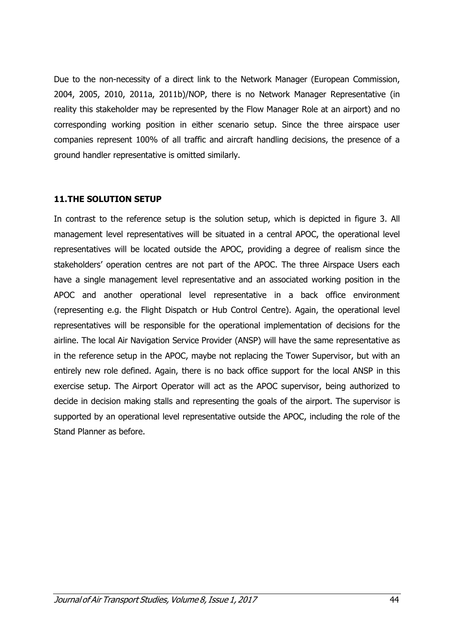Due to the non-necessity of a direct link to the Network Manager (European Commission, 2004, 2005, 2010, 2011a, 2011b)/NOP, there is no Network Manager Representative (in reality this stakeholder may be represented by the Flow Manager Role at an airport) and no corresponding working position in either scenario setup. Since the three airspace user companies represent 100% of all traffic and aircraft handling decisions, the presence of a ground handler representative is omitted similarly.

#### 11.THE SOLUTION SETUP

In contrast to the reference setup is the solution setup, which is depicted in figure 3. All management level representatives will be situated in a central APOC, the operational level representatives will be located outside the APOC, providing a degree of realism since the stakeholders' operation centres are not part of the APOC. The three Airspace Users each have a single management level representative and an associated working position in the APOC and another operational level representative in a back office environment (representing e.g. the Flight Dispatch or Hub Control Centre). Again, the operational level representatives will be responsible for the operational implementation of decisions for the airline. The local Air Navigation Service Provider (ANSP) will have the same representative as in the reference setup in the APOC, maybe not replacing the Tower Supervisor, but with an entirely new role defined. Again, there is no back office support for the local ANSP in this exercise setup. The Airport Operator will act as the APOC supervisor, being authorized to decide in decision making stalls and representing the goals of the airport. The supervisor is supported by an operational level representative outside the APOC, including the role of the Stand Planner as before.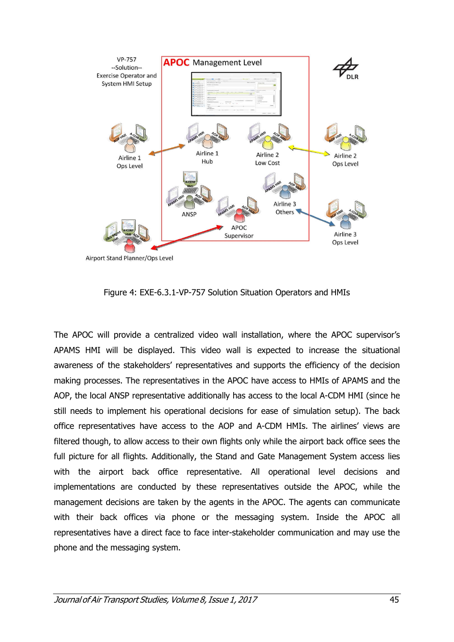

Airport Stand Planner/Ops Level

Figure 4: EXE-6.3.1-VP-757 Solution Situation Operators and HMIs

The APOC will provide a centralized video wall installation, where the APOC supervisor's APAMS HMI will be displayed. This video wall is expected to increase the situational awareness of the stakeholders' representatives and supports the efficiency of the decision making processes. The representatives in the APOC have access to HMIs of APAMS and the AOP, the local ANSP representative additionally has access to the local A-CDM HMI (since he still needs to implement his operational decisions for ease of simulation setup). The back office representatives have access to the AOP and A-CDM HMIs. The airlines' views are filtered though, to allow access to their own flights only while the airport back office sees the full picture for all flights. Additionally, the Stand and Gate Management System access lies with the airport back office representative. All operational level decisions and implementations are conducted by these representatives outside the APOC, while the management decisions are taken by the agents in the APOC. The agents can communicate with their back offices via phone or the messaging system. Inside the APOC all representatives have a direct face to face inter-stakeholder communication and may use the phone and the messaging system.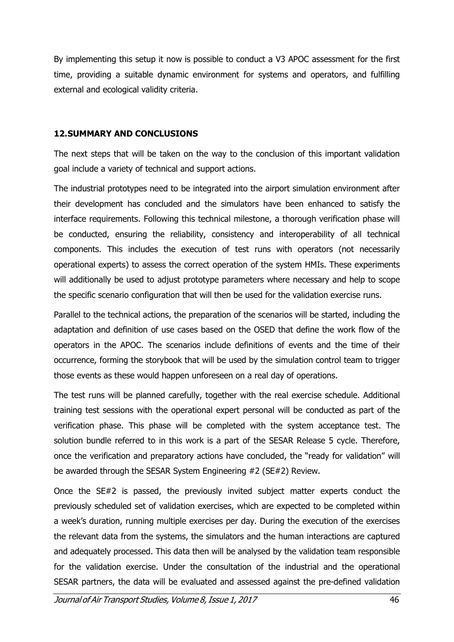By implementing this setup it now is possible to conduct a V3 APOC assessment for the first time, providing a suitable dynamic environment for systems and operators, and fulfilling external and ecological validity criteria.

#### 12.SUMMARY AND CONCLUSIONS

The next steps that will be taken on the way to the conclusion of this important validation goal include a variety of technical and support actions.

The industrial prototypes need to be integrated into the airport simulation environment after their development has concluded and the simulators have been enhanced to satisfy the interface requirements. Following this technical milestone, a thorough verification phase will be conducted, ensuring the reliability, consistency and interoperability of all technical components. This includes the execution of test runs with operators (not necessarily operational experts) to assess the correct operation of the system HMIs. These experiments will additionally be used to adjust prototype parameters where necessary and help to scope the specific scenario configuration that will then be used for the validation exercise runs.

Parallel to the technical actions, the preparation of the scenarios will be started, including the adaptation and definition of use cases based on the OSED that define the work flow of the operators in the APOC. The scenarios include definitions of events and the time of their occurrence, forming the storybook that will be used by the simulation control team to trigger those events as these would happen unforeseen on a real day of operations.

The test runs will be planned carefully, together with the real exercise schedule. Additional training test sessions with the operational expert personal will be conducted as part of the verification phase. This phase will be completed with the system acceptance test. The solution bundle referred to in this work is a part of the SESAR Release 5 cycle. Therefore, once the verification and preparatory actions have concluded, the "ready for validation" will be awarded through the SESAR System Engineering #2 (SE#2) Review.

Once the SE#2 is passed, the previously invited subject matter experts conduct the previously scheduled set of validation exercises, which are expected to be completed within a week's duration, running multiple exercises per day. During the execution of the exercises the relevant data from the systems, the simulators and the human interactions are captured and adequately processed. This data then will be analysed by the validation team responsible for the validation exercise. Under the consultation of the industrial and the operational SESAR partners, the data will be evaluated and assessed against the pre-defined validation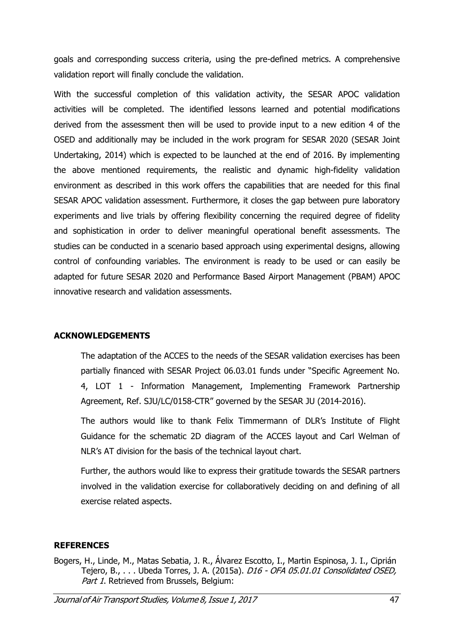goals and corresponding success criteria, using the pre-defined metrics. A comprehensive validation report will finally conclude the validation.

With the successful completion of this validation activity, the SESAR APOC validation activities will be completed. The identified lessons learned and potential modifications derived from the assessment then will be used to provide input to a new edition 4 of the OSED and additionally may be included in the work program for SESAR 2020 (SESAR Joint Undertaking, 2014) which is expected to be launched at the end of 2016. By implementing the above mentioned requirements, the realistic and dynamic high-fidelity validation environment as described in this work offers the capabilities that are needed for this final SESAR APOC validation assessment. Furthermore, it closes the gap between pure laboratory experiments and live trials by offering flexibility concerning the required degree of fidelity and sophistication in order to deliver meaningful operational benefit assessments. The studies can be conducted in a scenario based approach using experimental designs, allowing control of confounding variables. The environment is ready to be used or can easily be adapted for future SESAR 2020 and Performance Based Airport Management (PBAM) APOC innovative research and validation assessments.

## ACKNOWLEDGEMENTS

The adaptation of the ACCES to the needs of the SESAR validation exercises has been partially financed with SESAR Project 06.03.01 funds under "Specific Agreement No. 4, LOT 1 - Information Management, Implementing Framework Partnership Agreement, Ref. SJU/LC/0158-CTR" governed by the SESAR JU (2014-2016).

The authors would like to thank Felix Timmermann of DLR's Institute of Flight Guidance for the schematic 2D diagram of the ACCES layout and Carl Welman of NLR's AT division for the basis of the technical layout chart.

Further, the authors would like to express their gratitude towards the SESAR partners involved in the validation exercise for collaboratively deciding on and defining of all exercise related aspects.

#### **REFERENCES**

Bogers, H., Linde, M., Matas Sebatia, J. R., Álvarez Escotto, I., Martin Espinosa, J. I., Ciprián Tejero, B., . . . Ubeda Torres, J. A. (2015a). *D16 - OFA 05.01.01 Consolidated OSED.* Part 1. Retrieved from Brussels, Belgium: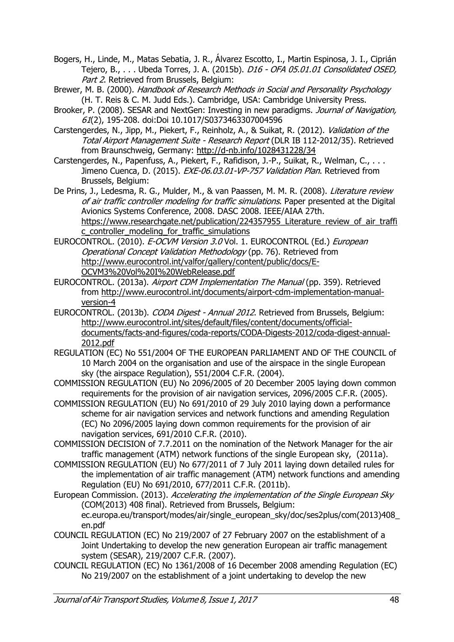Bogers, H., Linde, M., Matas Sebatia, J. R., Álvarez Escotto, I., Martin Espinosa, J. I., Ciprián Tejero, B., . . . Ubeda Torres, J. A. (2015b). *D16 - OFA 05.01.01 Consolidated OSED,* Part 2. Retrieved from Brussels, Belgium:

Brewer, M. B. (2000). Handbook of Research Methods in Social and Personality Psychology (H. T. Reis & C. M. Judd Eds.). Cambridge, USA: Cambridge University Press.

Brooker, P. (2008). SESAR and NextGen: Investing in new paradigms. Journal of Navigation, 61(2), 195-208. doi:Doi 10.1017/S0373463307004596

Carstengerdes, N., Jipp, M., Piekert, F., Reinholz, A., & Suikat, R. (2012). Validation of the Total Airport Management Suite - Research Report (DLR IB 112-2012/35). Retrieved from Braunschweig, Germany: http://d-nb.info/1028431228/34

Carstengerdes, N., Papenfuss, A., Piekert, F., Rafidison, J.-P., Suikat, R., Welman, C., ... Jimeno Cuenca, D. (2015). EXE-06.03.01-VP-757 Validation Plan. Retrieved from Brussels, Belgium:

De Prins, J., Ledesma, R. G., Mulder, M., & van Paassen, M. M. R. (2008). Literature review of air traffic controller modeling for traffic simulations. Paper presented at the Digital Avionics Systems Conference, 2008. DASC 2008. IEEE/AIAA 27th. https://www.researchgate.net/publication/224357955\_Literature\_review\_of\_air\_traffi c\_controller\_modeling\_for\_traffic\_simulations

EUROCONTROL. (2010). E-OCVM Version 3.0 Vol. 1. EUROCONTROL (Ed.) European Operational Concept Validation Methodology (pp. 76). Retrieved from http://www.eurocontrol.int/valfor/gallery/content/public/docs/E-OCVM3%20Vol%20I%20WebRelease.pdf

EUROCONTROL. (2013a). Airport CDM Implementation The Manual (pp. 359). Retrieved from http://www.eurocontrol.int/documents/airport-cdm-implementation-manualversion-4

EUROCONTROL. (2013b). CODA Digest - Annual 2012. Retrieved from Brussels, Belgium: http://www.eurocontrol.int/sites/default/files/content/documents/officialdocuments/facts-and-figures/coda-reports/CODA-Digests-2012/coda-digest-annual-2012.pdf

REGULATION (EC) No 551/2004 OF THE EUROPEAN PARLIAMENT AND OF THE COUNCIL of 10 March 2004 on the organisation and use of the airspace in the single European sky (the airspace Regulation), 551/2004 C.F.R. (2004).

COMMISSION REGULATION (EU) No 2096/2005 of 20 December 2005 laying down common requirements for the provision of air navigation services, 2096/2005 C.F.R. (2005).

COMMISSION REGULATION (EU) No 691/2010 of 29 July 2010 laying down a performance scheme for air navigation services and network functions and amending Regulation (EC) No 2096/2005 laying down common requirements for the provision of air navigation services, 691/2010 C.F.R. (2010).

COMMISSION DECISION of 7.7.2011 on the nomination of the Network Manager for the air traffic management (ATM) network functions of the single European sky, (2011a).

COMMISSION REGULATION (EU) No 677/2011 of 7 July 2011 laying down detailed rules for the implementation of air traffic management (ATM) network functions and amending Regulation (EU) No 691/2010, 677/2011 C.F.R. (2011b).

European Commission. (2013). Accelerating the implementation of the Single European Sky (COM(2013) 408 final). Retrieved from Brussels, Belgium: ec.europa.eu/transport/modes/air/single\_european\_sky/doc/ses2plus/com(2013)408\_ en.pdf

- COUNCIL REGULATION (EC) No 219/2007 of 27 February 2007 on the establishment of a Joint Undertaking to develop the new generation European air traffic management system (SESAR), 219/2007 C.F.R. (2007).
- COUNCIL REGULATION (EC) No 1361/2008 of 16 December 2008 amending Regulation (EC) No 219/2007 on the establishment of a joint undertaking to develop the new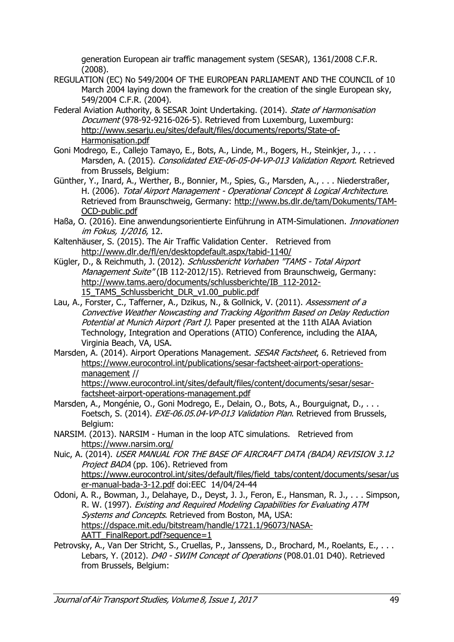generation European air traffic management system (SESAR), 1361/2008 C.F.R. (2008).

- REGULATION (EC) No 549/2004 OF THE EUROPEAN PARLIAMENT AND THE COUNCIL of 10 March 2004 laving down the framework for the creation of the single European sky, 549/2004 C.F.R. (2004).
- Federal Aviation Authority, & SESAR Joint Undertaking. (2014). State of Harmonisation Document (978-92-9216-026-5). Retrieved from Luxemburg, Luxemburg: http://www.sesarju.eu/sites/default/files/documents/reports/State-of-Harmonisation.pdf
- Goni Modrego, E., Callejo Tamayo, E., Bots, A., Linde, M., Bogers, H., Steinkjer, J., . . . Marsden, A. (2015). Consolidated EXE-06-05-04-VP-013 Validation Report. Retrieved from Brussels, Belgium:
- Günther, Y., Inard, A., Werther, B., Bonnier, M., Spies, G., Marsden, A., . . . Niederstraßer, H. (2006). Total Airport Management - Operational Concept & Logical Architecture. Retrieved from Braunschweig, Germany: http://www.bs.dlr.de/tam/Dokuments/TAM-OCD-public.pdf
- Haßa, O. (2016). Eine anwendungsorientierte Einführung in ATM-Simulationen. *Innovationen* im Fokus, 1/2016, 12.
- Kaltenhäuser, S. (2015). The Air Traffic Validation Center. Retrieved from http://www.dlr.de/fl/en/desktopdefault.aspx/tabid-1140/
- Kügler, D., & Reichmuth, J. (2012). Schlussbericht Vorhaben "TAMS Total Airport Management Suite" (IB 112-2012/15). Retrieved from Braunschweig, Germany: http://www.tams.aero/documents/schlussberichte/IB\_112-2012- 15\_TAMS\_Schlussbericht\_DLR\_v1.00\_public.pdf
- Lau, A., Forster, C., Tafferner, A., Dzikus, N., & Gollnick, V. (2011). Assessment of a Convective Weather Nowcasting and Tracking Algorithm Based on Delay Reduction Potential at Munich Airport (Part I). Paper presented at the 11th AIAA Aviation Technology, Integration and Operations (ATIO) Conference, including the AIAA, Virginia Beach, VA, USA.
- Marsden, A. (2014). Airport Operations Management. SESAR Factsheet, 6. Retrieved from https://www.eurocontrol.int/publications/sesar-factsheet-airport-operationsmanagement // https://www.eurocontrol.int/sites/default/files/content/documents/sesar/sesarfactsheet-airport-operations-management.pdf
- Marsden, A., Mongénie, O., Goni Modrego, E., Delain, O., Bots, A., Bourguignat, D., ... Foetsch, S. (2014). EXE-06.05.04-VP-013 Validation Plan. Retrieved from Brussels, Belgium:
- NARSIM. (2013). NARSIM Human in the loop ATC simulations. Retrieved from https://www.narsim.org/
- Nuic, A. (2014). USER MANUAL FOR THE BASE OF AIRCRAFT DATA (BADA) REVISION 3.12 Project BADA (pp. 106). Retrieved from https://www.eurocontrol.int/sites/default/files/field\_tabs/content/documents/sesar/us er-manual-bada-3-12.pdf doi:EEC 14/04/24-44
- Odoni, A. R., Bowman, J., Delahaye, D., Deyst, J. J., Feron, E., Hansman, R. J., . . . Simpson, R. W. (1997). Existing and Required Modeling Capabilities for Evaluating ATM Systems and Concepts. Retrieved from Boston, MA, USA: https://dspace.mit.edu/bitstream/handle/1721.1/96073/NASA-AATT\_FinalReport.pdf?sequence=1
- Petrovsky, A., Van Der Stricht, S., Cruellas, P., Janssens, D., Brochard, M., Roelants, E., . . . Lebars, Y. (2012). D40 - SWIM Concept of Operations (P08.01.01 D40). Retrieved from Brussels, Belgium: